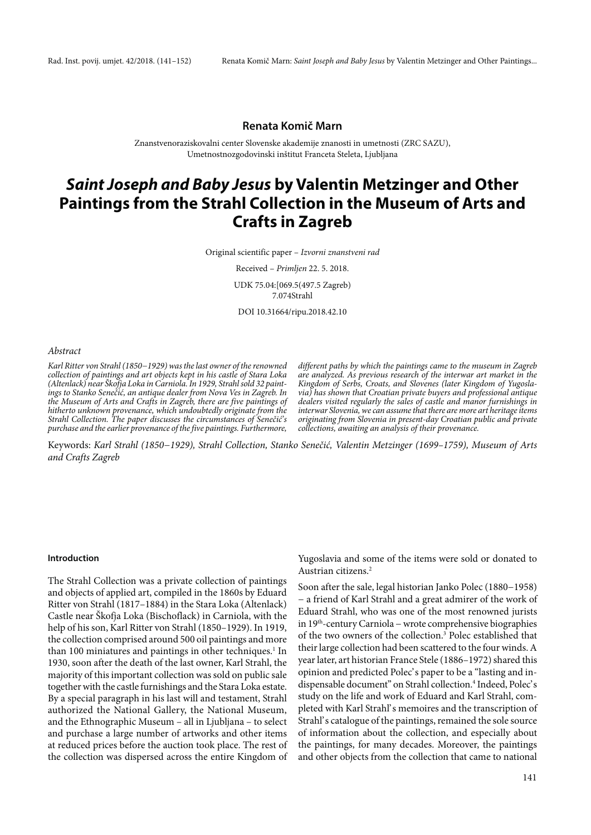## **Renata Komič Marn**

Znanstvenoraziskovalni center Slovenske akademije znanosti in umetnosti (ZRC SAZU), Umetnostnozgodovinski inštitut Franceta Steleta, Ljubljana

# **Saint Joseph and Baby Jesus by Valentin Metzinger and Other Paintings from the Strahl Collection in the Museum of Arts and Crafts in Zagreb**

Original scientific paper – Izvorni znanstveni rad

Received – Primljen 22. 5. 2018. UDK 75.04:[069.5(497.5 Zagreb) 7.074Strahl

DOI 10.31664/ripu.2018.42.10

#### Abstract

Karl Ritter von Strahl (1850−1929) was the last owner of the renowned collection of paintings and art objects kept in his castle of Stara Loka (Altenlack) near Škofja Loka in Carniola. In 1929, Strahl sold 32 paintings to Stanko Senečić, an antique dealer from Nova Ves in Zagreb. In the Museum of Arts and Crafts in Zagreb, there are five paintings of hitherto unknown provenance, which undoubtedly originate from the Strahl Collection. The paper discusses the circumstances of Senečić's purchase and the earlier provenance of the five paintings. Furthermore, different paths by which the paintings came to the museum in Zagreb are analyzed. As previous research of the interwar art market in the Kingdom of Serbs, Croats, and Slovenes (later Kingdom of Yugoslavia) has shown that Croatian private buyers and professional antique dealers visited regularly the sales of castle and manor furnishings in interwar Slovenia, we can assume that there are more art heritage items originating from Slovenia in present-day Croatian public and private collections, awaiting an analysis of their provenance.

Keywords: Karl Strahl (1850−1929), Strahl Collection, Stanko Senečić, Valentin Metzinger (1699–1759), Museum of Arts and Crafts Zagreb

## **Introduction**

The Strahl Collection was a private collection of paintings and objects of applied art, compiled in the 1860s by Eduard Ritter von Strahl (1817–1884) in the Stara Loka (Altenlack) Castle near Škofja Loka (Bischoflack) in Carniola, with the help of his son, Karl Ritter von Strahl (1850–1929). In 1919, the collection comprised around 500 oil paintings and more than 100 miniatures and paintings in other techniques.<sup>1</sup> In 1930, soon after the death of the last owner, Karl Strahl, the majority of this important collection was sold on public sale together with the castle furnishings and the Stara Loka estate. By a special paragraph in his last will and testament, Strahl authorized the National Gallery, the National Museum, and the Ethnographic Museum – all in Ljubljana – to select and purchase a large number of artworks and other items at reduced prices before the auction took place. The rest of the collection was dispersed across the entire Kingdom of

Yugoslavia and some of the items were sold or donated to Austrian citizens.2

Soon after the sale, legal historian Janko Polec (1880−1958) − a friend of Karl Strahl and a great admirer of the work of Eduard Strahl, who was one of the most renowned jurists in 19th-century Carniola − wrote comprehensive biographies of the two owners of the collection.3 Polec established that their large collection had been scattered to the four winds. A year later, art historian France Stele (1886–1972) shared this opinion and predicted Polec' s paper to be a "lasting and indispensable document" on Strahl collection.<sup>4</sup> Indeed, Polec's study on the life and work of Eduard and Karl Strahl, completed with Karl Strahl' s memoires and the transcription of Strahl's catalogue of the paintings, remained the sole source of information about the collection, and especially about the paintings, for many decades. Moreover, the paintings and other objects from the collection that came to national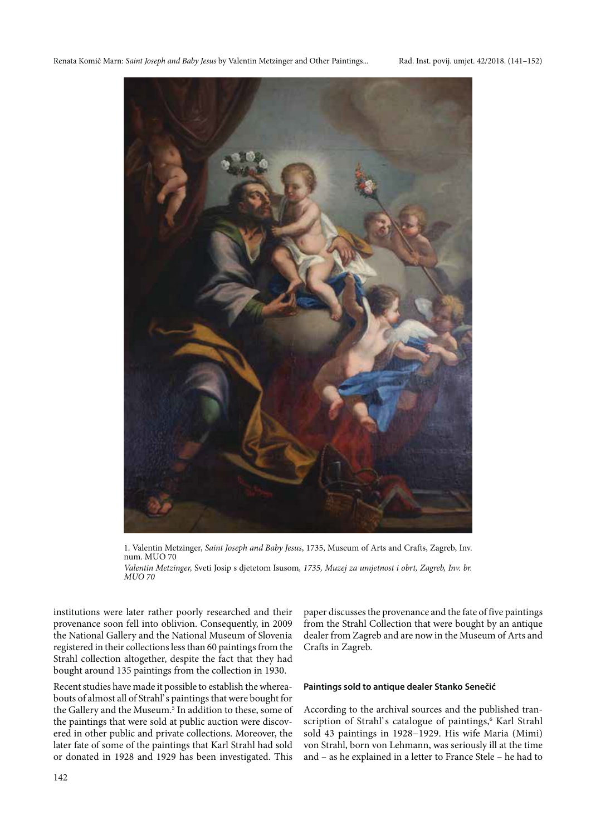

1. Valentin Metzinger, Saint Joseph and Baby Jesus, 1735, Museum of Arts and Crafts, Zagreb, Inv. num. MUO 70 Valentin Metzinger, Sveti Josip s djetetom Isusom, 1735, Muzej za umjetnost i obrt, Zagreb, Inv. br. MUO 70

institutions were later rather poorly researched and their provenance soon fell into oblivion. Consequently, in 2009 the National Gallery and the National Museum of Slovenia registered in their collections less than 60 paintings from the Strahl collection altogether, despite the fact that they had bought around 135 paintings from the collection in 1930.

Recent studies have made it possible to establish the whereabouts of almost all of Strahl' s paintings that were bought for the Gallery and the Museum.<sup>5</sup> In addition to these, some of the paintings that were sold at public auction were discovered in other public and private collections. Moreover, the later fate of some of the paintings that Karl Strahl had sold or donated in 1928 and 1929 has been investigated. This paper discusses the provenance and the fate of five paintings from the Strahl Collection that were bought by an antique dealer from Zagreb and are now in the Museum of Arts and Crafts in Zagreb.

## **Paintings sold to antique dealer Stanko Senečić**

According to the archival sources and the published transcription of Strahl's catalogue of paintings,<sup>6</sup> Karl Strahl sold 43 paintings in 1928−1929. His wife Maria (Mimi) von Strahl, born von Lehmann, was seriously ill at the time and – as he explained in a letter to France Stele – he had to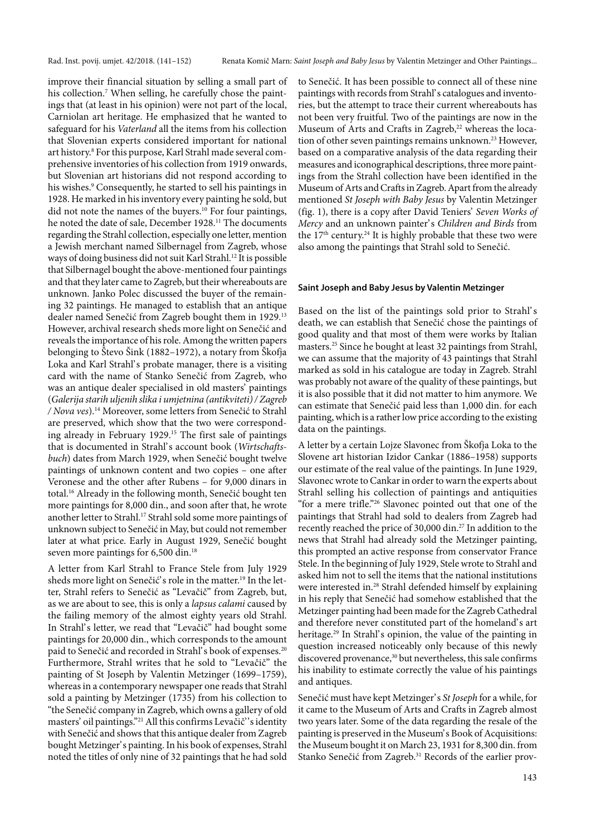improve their financial situation by selling a small part of his collection.<sup>7</sup> When selling, he carefully chose the paintings that (at least in his opinion) were not part of the local, Carniolan art heritage. He emphasized that he wanted to safeguard for his Vaterland all the items from his collection that Slovenian experts considered important for national art history.8 For this purpose, Karl Strahl made several comprehensive inventories of his collection from 1919 onwards, but Slovenian art historians did not respond according to his wishes.9 Consequently, he started to sell his paintings in 1928. He marked in his inventory every painting he sold, but did not note the names of the buyers.<sup>10</sup> For four paintings, he noted the date of sale, December 1928.<sup>11</sup> The documents regarding the Strahl collection, especially one letter, mention a Jewish merchant named Silbernagel from Zagreb, whose ways of doing business did not suit Karl Strahl.12 It is possible that Silbernagel bought the above-mentioned four paintings and that they later came to Zagreb, but their whereabouts are unknown. Janko Polec discussed the buyer of the remaining 32 paintings. He managed to establish that an antique dealer named Senečić from Zagreb bought them in 1929.13 However, archival research sheds more light on Senečić and reveals the importance of his role. Among the written papers belonging to Števo Šink (1882–1972), a notary from Škofja Loka and Karl Strahl's probate manager, there is a visiting card with the name of Stanko Senečić from Zagreb, who was an antique dealer specialised in old masters' paintings (Galerija starih uljenih slika i umjetnina (antikviteti) / Zagreb / Nova ves).14 Moreover, some letters from Senečić to Strahl are preserved, which show that the two were corresponding already in February 1929.<sup>15</sup> The first sale of paintings that is documented in Strahl's account book (Wirtschaftsbuch) dates from March 1929, when Senečić bought twelve paintings of unknown content and two copies – one after Veronese and the other after Rubens – for 9,000 dinars in total.16 Already in the following month, Senečić bought ten more paintings for 8,000 din., and soon after that, he wrote another letter to Strahl.17 Strahl sold some more paintings of unknown subject to Senečić in May, but could not remember later at what price. Early in August 1929, Senečić bought seven more paintings for 6,500 din.<sup>18</sup>

A letter from Karl Strahl to France Stele from July 1929 sheds more light on Senečić' s role in the matter.<sup>19</sup> In the letter, Strahl refers to Senečić as "Levačič" from Zagreb, but, as we are about to see, this is only a lapsus calami caused by the failing memory of the almost eighty years old Strahl. In Strahl's letter, we read that "Levačič" had bought some paintings for 20,000 din., which corresponds to the amount paid to Senečić and recorded in Strahl's book of expenses.<sup>20</sup> Furthermore, Strahl writes that he sold to "Levačič" the painting of St Joseph by Valentin Metzinger (1699–1759), whereas in a contemporary newspaper one reads that Strahl sold a painting by Metzinger (1735) from his collection to "the Senečić company in Zagreb, which owns a gallery of old masters' oil paintings."<sup>21</sup> All this confirms Levačič''s identity with Senečić and shows that this antique dealer from Zagreb bought Metzinger' s painting. In his book of expenses, Strahl noted the titles of only nine of 32 paintings that he had sold to Senečić. It has been possible to connect all of these nine paintings with records from Strahl' s catalogues and inventories, but the attempt to trace their current whereabouts has not been very fruitful. Two of the paintings are now in the Museum of Arts and Crafts in Zagreb,<sup>22</sup> whereas the location of other seven paintings remains unknown.<sup>23</sup> However, based on a comparative analysis of the data regarding their measures and iconographical descriptions, three more paintings from the Strahl collection have been identified in the Museum of Arts and Crafts in Zagreb. Apart from the already mentioned St Joseph with Baby Jesus by Valentin Metzinger (fig. 1), there is a copy after David Teniers' Seven Works of Mercy and an unknown painter' s Children and Birds from the  $17<sup>th</sup>$  century.<sup>24</sup> It is highly probable that these two were also among the paintings that Strahl sold to Senečić.

#### **Saint Joseph and Baby Jesus by Valentin Metzinger**

Based on the list of the paintings sold prior to Strahl' s death, we can establish that Senečić chose the paintings of good quality and that most of them were works by Italian masters.25 Since he bought at least 32 paintings from Strahl, we can assume that the majority of 43 paintings that Strahl marked as sold in his catalogue are today in Zagreb. Strahl was probably not aware of the quality of these paintings, but it is also possible that it did not matter to him anymore. We can estimate that Senečić paid less than 1,000 din. for each painting, which is a rather low price according to the existing data on the paintings.

A letter by a certain Lojze Slavonec from Škofja Loka to the Slovene art historian Izidor Cankar (1886–1958) supports our estimate of the real value of the paintings. In June 1929, Slavonec wrote to Cankar in order to warn the experts about Strahl selling his collection of paintings and antiquities "for a mere trifle."26 Slavonec pointed out that one of the paintings that Strahl had sold to dealers from Zagreb had recently reached the price of 30,000 din.27 In addition to the news that Strahl had already sold the Metzinger painting, this prompted an active response from conservator France Stele. In the beginning of July 1929, Stele wrote to Strahl and asked him not to sell the items that the national institutions were interested in.28 Strahl defended himself by explaining in his reply that Senečić had somehow established that the Metzinger painting had been made for the Zagreb Cathedral and therefore never constituted part of the homeland's art heritage.<sup>29</sup> In Strahl's opinion, the value of the painting in question increased noticeably only because of this newly discovered provenance,<sup>30</sup> but nevertheless, this sale confirms his inability to estimate correctly the value of his paintings and antiques.

Senečić must have kept Metzinger' s St Joseph for a while, for it came to the Museum of Arts and Crafts in Zagreb almost two years later. Some of the data regarding the resale of the painting is preserved in the Museum's Book of Acquisitions: the Museum bought it on March 23, 1931 for 8,300 din. from Stanko Senečić from Zagreb.<sup>31</sup> Records of the earlier prov-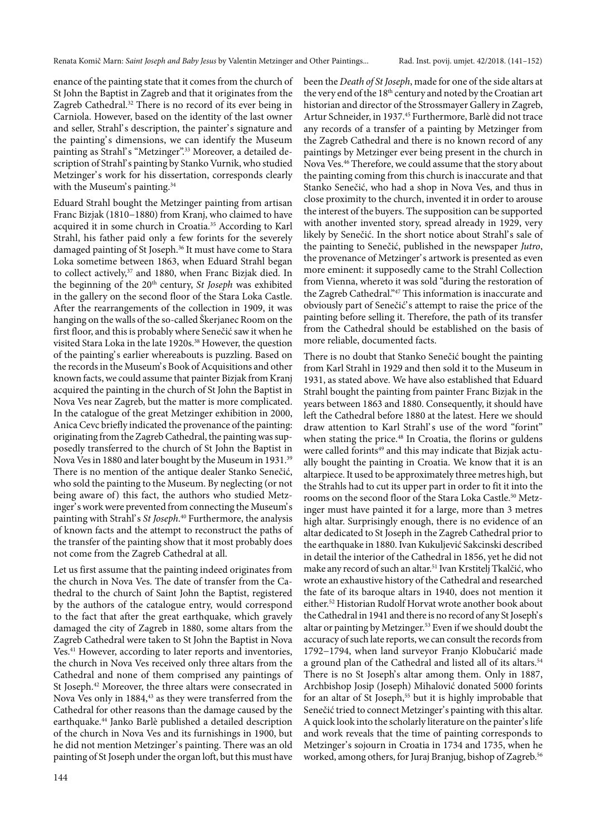enance of the painting state that it comes from the church of St John the Baptist in Zagreb and that it originates from the Zagreb Cathedral.<sup>32</sup> There is no record of its ever being in Carniola. However, based on the identity of the last owner and seller, Strahl's description, the painter's signature and the painting's dimensions, we can identify the Museum painting as Strahl's "Metzinger".<sup>33</sup> Moreover, a detailed description of Strahl's painting by Stanko Vurnik, who studied Metzinger's work for his dissertation, corresponds clearly with the Museum's painting.<sup>34</sup>

Eduard Strahl bought the Metzinger painting from artisan Franc Bizjak (1810−1880) from Kranj, who claimed to have acquired it in some church in Croatia.35 According to Karl Strahl, his father paid only a few forints for the severely damaged painting of St Joseph.<sup>36</sup> It must have come to Stara Loka sometime between 1863, when Eduard Strahl began to collect actively,<sup>37</sup> and 1880, when Franc Bizjak died. In the beginning of the 20<sup>th</sup> century, St Joseph was exhibited in the gallery on the second floor of the Stara Loka Castle. After the rearrangements of the collection in 1909, it was hanging on the walls of the so-called Škerjanec Room on the first floor, and this is probably where Senečić saw it when he visited Stara Loka in the late 1920s.<sup>38</sup> However, the question of the painting' s earlier whereabouts is puzzling. Based on the records in the Museum' s Book of Acquisitions and other known facts, we could assume that painter Bizjak from Kranj acquired the painting in the church of St John the Baptist in Nova Ves near Zagreb, but the matter is more complicated. In the catalogue of the great Metzinger exhibition in 2000, Anica Cevc briefly indicated the provenance of the painting: originating from the Zagreb Cathedral, the painting was supposedly transferred to the church of St John the Baptist in Nova Ves in 1880 and later bought by the Museum in 1931.39 There is no mention of the antique dealer Stanko Senečić, who sold the painting to the Museum. By neglecting (or not being aware of) this fact, the authors who studied Metzinger's work were prevented from connecting the Museum's painting with Strahl's St Joseph.<sup>40</sup> Furthermore, the analysis of known facts and the attempt to reconstruct the paths of the transfer of the painting show that it most probably does not come from the Zagreb Cathedral at all.

Let us first assume that the painting indeed originates from the church in Nova Ves. The date of transfer from the Cathedral to the church of Saint John the Baptist, registered by the authors of the catalogue entry, would correspond to the fact that after the great earthquake, which gravely damaged the city of Zagreb in 1880, some altars from the Zagreb Cathedral were taken to St John the Baptist in Nova Ves.<sup>41</sup> However, according to later reports and inventories, the church in Nova Ves received only three altars from the Cathedral and none of them comprised any paintings of St Joseph.<sup>42</sup> Moreover, the three altars were consecrated in Nova Ves only in 1884,<sup>43</sup> as they were transferred from the Cathedral for other reasons than the damage caused by the earthquake.44 Janko Barlè published a detailed description of the church in Nova Ves and its furnishings in 1900, but he did not mention Metzinger's painting. There was an old painting of St Joseph under the organ loft, but this must have been the Death of St Joseph, made for one of the side altars at the very end of the 18<sup>th</sup> century and noted by the Croatian art historian and director of the Strossmayer Gallery in Zagreb, Artur Schneider, in 1937.45 Furthermore, Barlè did not trace any records of a transfer of a painting by Metzinger from the Zagreb Cathedral and there is no known record of any paintings by Metzinger ever being present in the church in Nova Ves.46 Therefore, we could assume that the story about the painting coming from this church is inaccurate and that Stanko Senečić, who had a shop in Nova Ves, and thus in close proximity to the church, invented it in order to arouse the interest of the buyers. The supposition can be supported with another invented story, spread already in 1929, very likely by Senečić. In the short notice about Strahl's sale of the painting to Senečić, published in the newspaper Jutro, the provenance of Metzinger' s artwork is presented as even more eminent: it supposedly came to the Strahl Collection from Vienna, whereto it was sold "during the restoration of the Zagreb Cathedral."47 This information is inaccurate and obviously part of Senečić' s attempt to raise the price of the painting before selling it. Therefore, the path of its transfer from the Cathedral should be established on the basis of more reliable, documented facts.

There is no doubt that Stanko Senečić bought the painting from Karl Strahl in 1929 and then sold it to the Museum in 1931, as stated above. We have also established that Eduard Strahl bought the painting from painter Franc Bizjak in the years between 1863 and 1880. Consequently, it should have left the Cathedral before 1880 at the latest. Here we should draw attention to Karl Strahl's use of the word "forint" when stating the price.<sup>48</sup> In Croatia, the florins or guldens were called forints<sup>49</sup> and this may indicate that Bizjak actually bought the painting in Croatia. We know that it is an altarpiece. It used to be approximately three metres high, but the Strahls had to cut its upper part in order to fit it into the rooms on the second floor of the Stara Loka Castle.<sup>50</sup> Metzinger must have painted it for a large, more than 3 metres high altar. Surprisingly enough, there is no evidence of an altar dedicated to St Joseph in the Zagreb Cathedral prior to the earthquake in 1880. Ivan Kukuljević Sakcinski described in detail the interior of the Cathedral in 1856, yet he did not make any record of such an altar.51 Ivan Krstitelj Tkalčić, who wrote an exhaustive history of the Cathedral and researched the fate of its baroque altars in 1940, does not mention it either.52 Historian Rudolf Horvat wrote another book about the Cathedral in 1941 and there is no record of any St Joseph's altar or painting by Metzinger.<sup>53</sup> Even if we should doubt the accuracy of such late reports, we can consult the records from 1792−1794, when land surveyor Franjo Klobučarić made a ground plan of the Cathedral and listed all of its altars.<sup>54</sup> There is no St Joseph's altar among them. Only in 1887, Archbishop Josip (Joseph) Mihalović donated 5000 forints for an altar of St Joseph,<sup>55</sup> but it is highly improbable that Senečić tried to connect Metzinger's painting with this altar. A quick look into the scholarly literature on the painter's life and work reveals that the time of painting corresponds to Metzinger's sojourn in Croatia in 1734 and 1735, when he worked, among others, for Juraj Branjug, bishop of Zagreb.<sup>56</sup>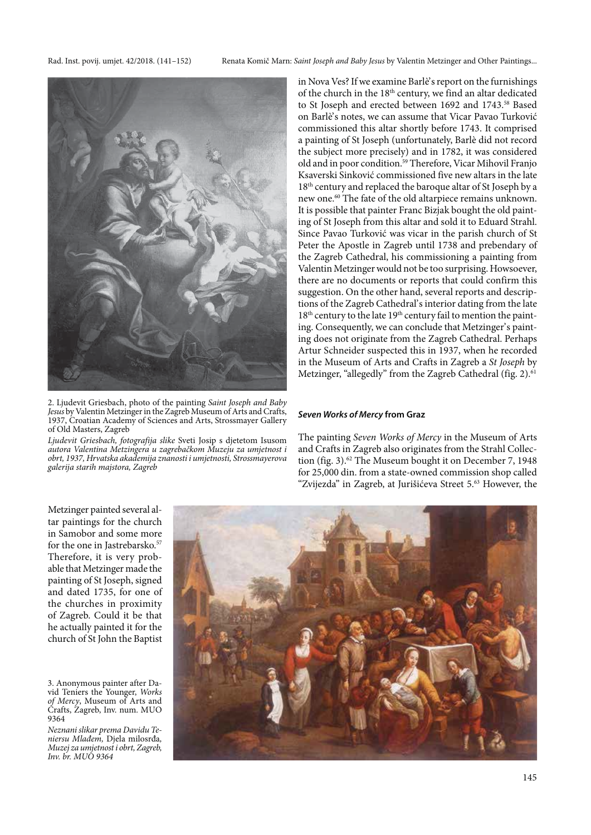Rad. Inst. povij. umjet. 42/2018. (141–152) Renata Komič Marn: Saint Joseph and Baby Jesus by Valentin Metzinger and Other Paintings...



2. Ljudevit Griesbach, photo of the painting Saint Joseph and Baby Jesus by Valentin Metzinger in the Zagreb Museum of Arts and Crafts, 1937, Croatian Academy of Sciences and Arts, Strossmayer Gallery of Old Masters, Zagreb

Ljudevit Griesbach, fotografija slike Sveti Josip s djetetom Isusom autora Valentina Metzingera u zagrebačkom Muzeju za umjetnost i obrt, 1937, Hrvatska akademija znanosti i umjetnosti, Strossmayerova galerija starih majstora, Zagreb

in Nova Ves? If we examine Barlè' s report on the furnishings of the church in the 18<sup>th</sup> century, we find an altar dedicated to St Joseph and erected between 1692 and 1743.<sup>58</sup> Based on Barlè's notes, we can assume that Vicar Pavao Turković commissioned this altar shortly before 1743. It comprised a painting of St Joseph (unfortunately, Barlè did not record the subject more precisely) and in 1782, it was considered old and in poor condition.59 Therefore, Vicar Mihovil Franjo Ksaverski Sinković commissioned five new altars in the late 18<sup>th</sup> century and replaced the baroque altar of St Joseph by a new one.60 The fate of the old altarpiece remains unknown. It is possible that painter Franc Bizjak bought the old painting of St Joseph from this altar and sold it to Eduard Strahl. Since Pavao Turković was vicar in the parish church of St Peter the Apostle in Zagreb until 1738 and prebendary of the Zagreb Cathedral, his commissioning a painting from Valentin Metzinger would not be too surprising. Howsoever, there are no documents or reports that could confirm this suggestion. On the other hand, several reports and descriptions of the Zagreb Cathedral' s interior dating from the late 18<sup>th</sup> century to the late 19<sup>th</sup> century fail to mention the painting. Consequently, we can conclude that Metzinger's painting does not originate from the Zagreb Cathedral. Perhaps Artur Schneider suspected this in 1937, when he recorded in the Museum of Arts and Crafts in Zagreb a St Joseph by Metzinger, "allegedly" from the Zagreb Cathedral (fig. 2).<sup>61</sup>

#### **Seven Works of Mercy from Graz**

The painting Seven Works of Mercy in the Museum of Arts and Crafts in Zagreb also originates from the Strahl Collection (fig. 3).<sup>62</sup> The Museum bought it on December 7, 1948 for 25,000 din. from a state-owned commission shop called "Zvijezda" in Zagreb, at Jurišićeva Street 5.63 However, the

Metzinger painted several altar paintings for the church in Samobor and some more for the one in Jastrebarsko.<sup>57</sup> Therefore, it is very probable that Metzinger made the painting of St Joseph, signed and dated 1735, for one of the churches in proximity of Zagreb. Could it be that he actually painted it for the church of St John the Baptist

3. Anonymous painter after David Teniers the Younger, Works of Mercy, Museum of Arts and Crafts, Zagreb, Inv. num. MUO 9364

Neznani slikar prema Davidu Teniersu Mlađem, Djela milosrđa, Muzej za umjetnost i obrt, Zagreb, Inv. br. MUO 9364

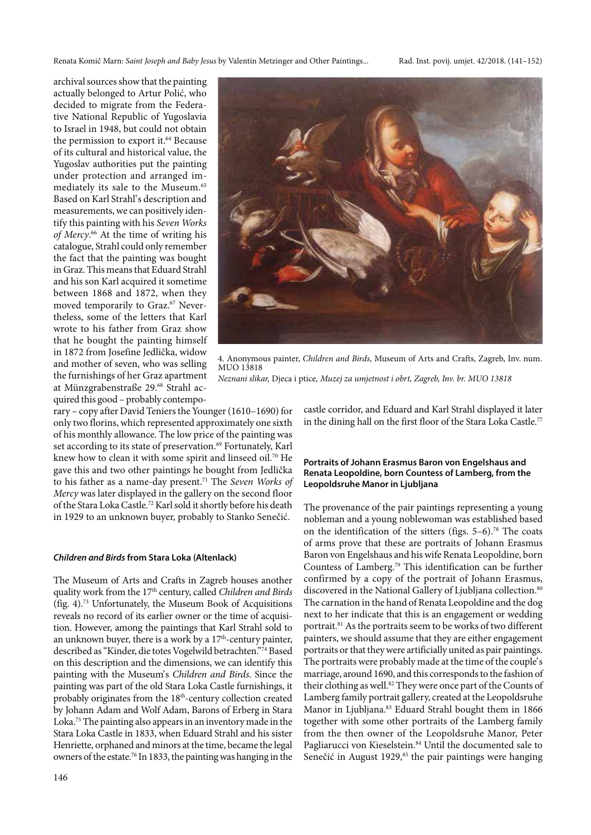archival sources show that the painting actually belonged to Artur Polić, who decided to migrate from the Federative National Republic of Yugoslavia to Israel in 1948, but could not obtain the permission to export it.<sup>64</sup> Because of its cultural and historical value, the Yugoslav authorities put the painting under protection and arranged immediately its sale to the Museum.<sup>65</sup> Based on Karl Strahl's description and measurements, we can positively identify this painting with his Seven Works of Mercy.<sup>66</sup> At the time of writing his catalogue, Strahl could only remember the fact that the painting was bought in Graz. This means that Eduard Strahl and his son Karl acquired it sometime between 1868 and 1872, when they moved temporarily to Graz.<sup>67</sup> Nevertheless, some of the letters that Karl wrote to his father from Graz show that he bought the painting himself in 1872 from Josefine Jedlička, widow and mother of seven, who was selling the furnishings of her Graz apartment at Münzgrabenstraße 29.68 Strahl acquired this good – probably contempo-



4. Anonymous painter, Children and Birds, Museum of Arts and Crafts, Zagreb, Inv. num. MUO 13818 Neznani slikar, Djeca i ptice, Muzej za umjetnost i obrt, Zagreb, Inv. br. MUO 13818

rary – copy after David Teniers the Younger (1610–1690) for only two florins, which represented approximately one sixth of his monthly allowance. The low price of the painting was set according to its state of preservation.<sup>69</sup> Fortunately, Karl knew how to clean it with some spirit and linseed oil.<sup>70</sup> He gave this and two other paintings he bought from Jedlička to his father as a name-day present.<sup>71</sup> The Seven Works of Mercy was later displayed in the gallery on the second floor of the Stara Loka Castle.72 Karl sold it shortly before his death in 1929 to an unknown buyer, probably to Stanko Senečić.

## **Children and Birds from Stara Loka (Altenlack)**

The Museum of Arts and Crafts in Zagreb houses another quality work from the 17<sup>th</sup> century, called Children and Birds (fig. 4).73 Unfortunately, the Museum Book of Acquisitions reveals no record of its earlier owner or the time of acquisition. However, among the paintings that Karl Strahl sold to an unknown buyer, there is a work by a  $17<sup>th</sup>$ -century painter, described as "Kinder, die totes Vogelwild betrachten."74 Based on this description and the dimensions, we can identify this painting with the Museum's Children and Birds. Since the painting was part of the old Stara Loka Castle furnishings, it probably originates from the 18<sup>th</sup>-century collection created by Johann Adam and Wolf Adam, Barons of Erberg in Stara Loka.75 The painting also appears in an inventory made in the Stara Loka Castle in 1833, when Eduard Strahl and his sister Henriette, orphaned and minors at the time, became the legal owners of the estate.76 In 1833, the painting was hanging in the

castle corridor, and Eduard and Karl Strahl displayed it later in the dining hall on the first floor of the Stara Loka Castle.<sup>77</sup>

## **Portraits of Johann Erasmus Baron von Engelshaus and Renata Leopoldine, born Countess of Lamberg, from the Leopoldsruhe Manor in Ljubljana**

The provenance of the pair paintings representing a young nobleman and a young noblewoman was established based on the identification of the sitters (figs.  $5-6$ ).<sup>78</sup> The coats of arms prove that these are portraits of Johann Erasmus Baron von Engelshaus and his wife Renata Leopoldine, born Countess of Lamberg.79 This identification can be further confirmed by a copy of the portrait of Johann Erasmus, discovered in the National Gallery of Ljubljana collection.<sup>80</sup> The carnation in the hand of Renata Leopoldine and the dog next to her indicate that this is an engagement or wedding portrait.<sup>81</sup> As the portraits seem to be works of two different painters, we should assume that they are either engagement portraits or that they were artificially united as pair paintings. The portraits were probably made at the time of the couple's marriage, around 1690, and this corresponds to the fashion of their clothing as well.<sup>82</sup> They were once part of the Counts of Lamberg family portrait gallery, created at the Leopoldsruhe Manor in Ljubljana.<sup>83</sup> Eduard Strahl bought them in 1866 together with some other portraits of the Lamberg family from the then owner of the Leopoldsruhe Manor, Peter Pagliarucci von Kieselstein.<sup>84</sup> Until the documented sale to Senečić in August 1929,<sup>85</sup> the pair paintings were hanging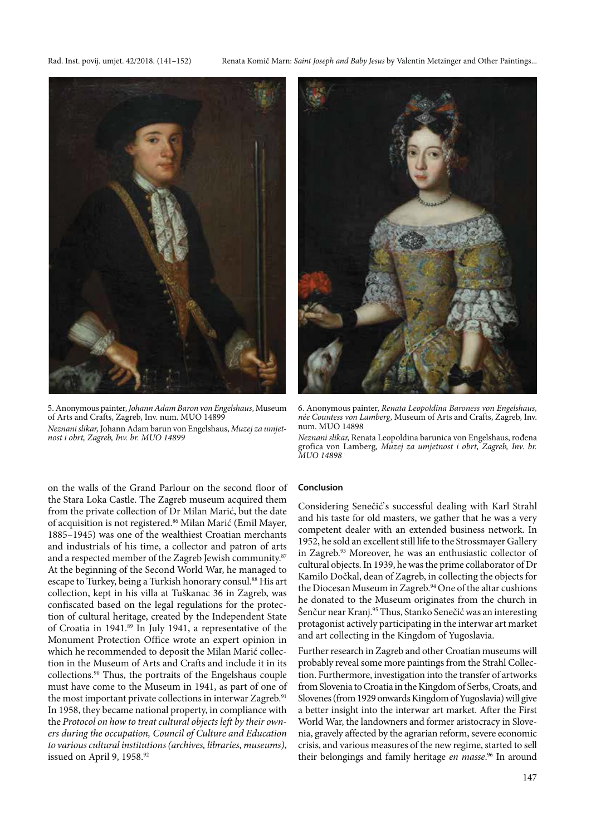

5. Anonymous painter, Johann Adam Baron von Engelshaus, Museum of Arts and Crafts, Zagreb, Inv. num. MUO 14899 Neznani slikar, Johann Adam barun von Engelshaus, Muzej za umjetnost i obrt, Zagreb, Inv. br. MUO 14899

Rad. Inst. povij. umjet. 42/2018. (141–152) Renata Komič Marn: Saint Joseph and Baby Jesus by Valentin Metzinger and Other Paintings...



6. Anonymous painter, Renata Leopoldina Baroness von Engelshaus, née Countess von Lamberg, Museum of Arts and Crafts, Zagreb, Inv. num. MUO 14898

Neznani slikar, Renata Leopoldina barunica von Engelshaus, rođena grofica von Lamberg, Muzej za umjetnost i obrt, Zagreb, Inv. br. MUO 14898

on the walls of the Grand Parlour on the second floor of the Stara Loka Castle. The Zagreb museum acquired them from the private collection of Dr Milan Marić, but the date of acquisition is not registered.86 Milan Marić (Emil Mayer, 1885–1945) was one of the wealthiest Croatian merchants and industrials of his time, a collector and patron of arts and a respected member of the Zagreb Jewish community.<sup>87</sup> At the beginning of the Second World War, he managed to escape to Turkey, being a Turkish honorary consul.<sup>88</sup> His art collection, kept in his villa at Tuškanac 36 in Zagreb, was confiscated based on the legal regulations for the protection of cultural heritage, created by the Independent State of Croatia in 1941.89 In July 1941, a representative of the Monument Protection Office wrote an expert opinion in which he recommended to deposit the Milan Marić collection in the Museum of Arts and Crafts and include it in its collections.90 Thus, the portraits of the Engelshaus couple must have come to the Museum in 1941, as part of one of the most important private collections in interwar Zagreb.<sup>91</sup> In 1958, they became national property, in compliance with the Protocol on how to treat cultural objects left by their owners during the occupation, Council of Culture and Education to various cultural institutions (archives, libraries, museums), issued on April 9, 1958.92

## **Conclusion**

Considering Senečić's successful dealing with Karl Strahl and his taste for old masters, we gather that he was a very competent dealer with an extended business network. In 1952, he sold an excellent still life to the Strossmayer Gallery in Zagreb.93 Moreover, he was an enthusiastic collector of cultural objects. In 1939, he was the prime collaborator of Dr Kamilo Dočkal, dean of Zagreb, in collecting the objects for the Diocesan Museum in Zagreb.<sup>94</sup> One of the altar cushions he donated to the Museum originates from the church in Šenčur near Kranj.<sup>95</sup> Thus, Stanko Senečić was an interesting protagonist actively participating in the interwar art market and art collecting in the Kingdom of Yugoslavia.

Further research in Zagreb and other Croatian museums will probably reveal some more paintings from the Strahl Collection. Furthermore, investigation into the transfer of artworks from Slovenia to Croatia in the Kingdom of Serbs, Croats, and Slovenes (from 1929 onwards Kingdom of Yugoslavia) will give a better insight into the interwar art market. After the First World War, the landowners and former aristocracy in Slovenia, gravely affected by the agrarian reform, severe economic crisis, and various measures of the new regime, started to sell their belongings and family heritage en masse.<sup>96</sup> In around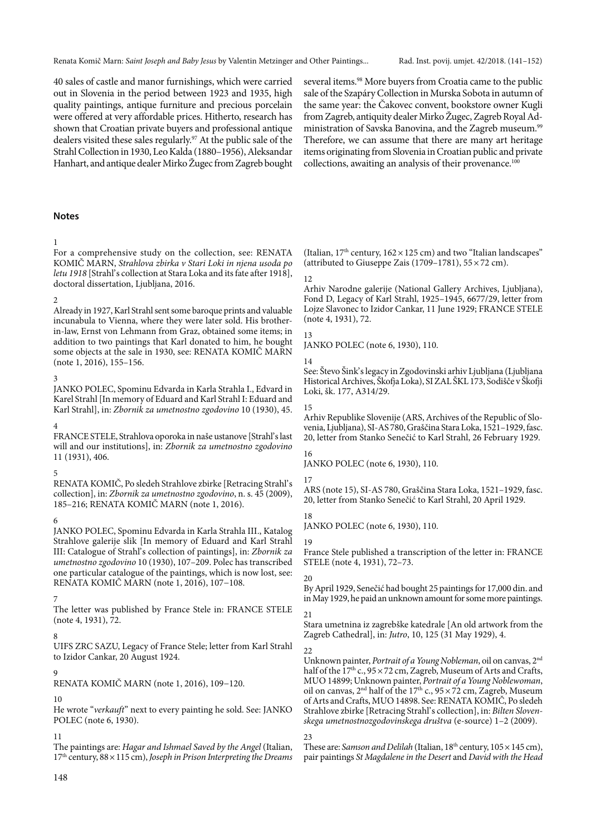40 sales of castle and manor furnishings, which were carried out in Slovenia in the period between 1923 and 1935, high quality paintings, antique furniture and precious porcelain were offered at very affordable prices. Hitherto, research has shown that Croatian private buyers and professional antique dealers visited these sales regularly.<sup>97</sup> At the public sale of the Strahl Collection in 1930, Leo Kalda (1880–1956), Aleksandar Hanhart, and antique dealer Mirko Žugec from Zagreb bought

several items.<sup>98</sup> More buyers from Croatia came to the public sale of the Szapáry Collection in Murska Sobota in autumn of the same year: the Čakovec convent, bookstore owner Kugli from Zagreb, antiquity dealer Mirko Žugec, Zagreb Royal Administration of Savska Banovina, and the Zagreb museum.<sup>99</sup> Therefore, we can assume that there are many art heritage items originating from Slovenia in Croatian public and private collections, awaiting an analysis of their provenance.<sup>100</sup>

## **Notes**

#### 1

For a comprehensive study on the collection, see: RENATA KOMIČ MARN, Strahlova zbirka v Stari Loki in njena usoda po letu 1918 [Strahl's collection at Stara Loka and its fate after 1918], doctoral dissertation, Ljubljana, 2016.

#### 2

Already in 1927, Karl Strahl sent some baroque prints and valuable incunabula to Vienna, where they were later sold. His brotherin-law, Ernst von Lehmann from Graz, obtained some items; in addition to two paintings that Karl donated to him, he bought some objects at the sale in 1930, see: RENATA KOMIČ MARN (note 1, 2016), 155–156.

## 3

JANKO POLEC, Spominu Edvarda in Karla Strahla I., Edvard in Karel Strahl [In memory of Eduard and Karl Strahl I: Eduard and Karl Strahl], in: Zbornik za umetnostno zgodovino 10 (1930), 45.

#### 4

FRANCE STELE, Strahlova oporoka in naše ustanove [Strahl's last will and our institutions], in: Zbornik za umetnostno zgodovino 11 (1931), 406.

#### 5

RENATA KOMIČ, Po sledeh Strahlove zbirke [Retracing Strahl' s collection], in: Zbornik za umetnostno zgodovino, n. s. 45 (2009), 185–216; RENATA KOMIČ MARN (note 1, 2016).

#### 6

JANKO POLEC, Spominu Edvarda in Karla Strahla III., Katalog Strahlove galerije slik [In memory of Eduard and Karl Strahl III: Catalogue of Strahl's collection of paintings], in: Zbornik za umetnostno zgodovino 10 (1930), 107–209. Polec has transcribed one particular catalogue of the paintings, which is now lost, see: RENATA KOMIČ MARN (note 1, 2016), 107−108.

#### 7

The letter was published by France Stele in: FRANCE STELE (note 4, 1931), 72.

#### 8

UIFS ZRC SAZU, Legacy of France Stele; letter from Karl Strahl to Izidor Cankar, 20 August 1924.

#### $\mathbf Q$

RENATA KOMIČ MARN (note 1, 2016), 109−120.

#### 10

He wrote "verkauft" next to every painting he sold. See: JANKO POLEC (note 6, 1930).

#### 11

The paintings are: Hagar and Ishmael Saved by the Angel (Italian,  $17<sup>th</sup>$  century,  $88 \times 115$  cm), Joseph in Prison Interpreting the Dreams (Italian,  $17<sup>th</sup>$  century,  $162 \times 125$  cm) and two "Italian landscapes" (attributed to Giuseppe Zais (1709–1781),  $55 \times 72$  cm).

#### 12

Arhiv Narodne galerije (National Gallery Archives, Ljubljana), Fond D, Legacy of Karl Strahl, 1925–1945, 6677/29, letter from Lojze Slavonec to Izidor Cankar, 11 June 1929; FRANCE STELE (note 4, 1931), 72.

## 13

JANKO POLEC (note 6, 1930), 110.

#### 14

See: Števo Šink' s legacy in Zgodovinski arhiv Ljubljana (Ljubljana Historical Archives, Škofja Loka), SI ZAL ŠKL 173, Sodišče v Škofji Loki, šk. 177, A314/29.

#### 15

Arhiv Republike Slovenije (ARS, Archives of the Republic of Slovenia, Ljubljana), SI-AS 780, Graščina Stara Loka, 1521–1929, fasc. 20, letter from Stanko Senečić to Karl Strahl, 26 February 1929.

JANKO POLEC (note 6, 1930), 110.

#### 17

16

ARS (note 15), SI-AS 780, Graščina Stara Loka, 1521–1929, fasc. 20, letter from Stanko Senečić to Karl Strahl, 20 April 1929.

#### 18

JANKO POLEC (note 6, 1930), 110.

#### 19

France Stele published a transcription of the letter in: FRANCE STELE (note 4, 1931), 72–73.

#### 20

By April 1929, Senečić had bought 25 paintings for 17,000 din. and in May 1929, he paid an unknown amount for some more paintings.

#### 21

Stara umetnina iz zagrebške katedrale [An old artwork from the Zagreb Cathedral], in: Jutro, 10, 125 (31 May 1929), 4.

#### $22$

Unknown painter, Portrait of a Young Nobleman, oil on canvas, 2nd half of the  $17<sup>th</sup>$  c.,  $95 \times 72$  cm, Zagreb, Museum of Arts and Crafts, MUO 14899; Unknown painter, Portrait of a Young Noblewoman, oil on canvas,  $2<sup>nd</sup>$  half of the 17<sup>th</sup> c.,  $95 \times 72$  cm, Zagreb, Museum of Arts and Crafts, MUO 14898. See: RENATA KOMIČ, Po sledeh Strahlove zbirke [Retracing Strahl's collection], in: Bilten Slovenskega umetnostnozgodovinskega društva (e-source) 1–2 (2009).

#### $23$

These are: Samson and Delilah (Italian,  $18<sup>th</sup>$  century,  $105 \times 145$  cm), pair paintings St Magdalene in the Desert and David with the Head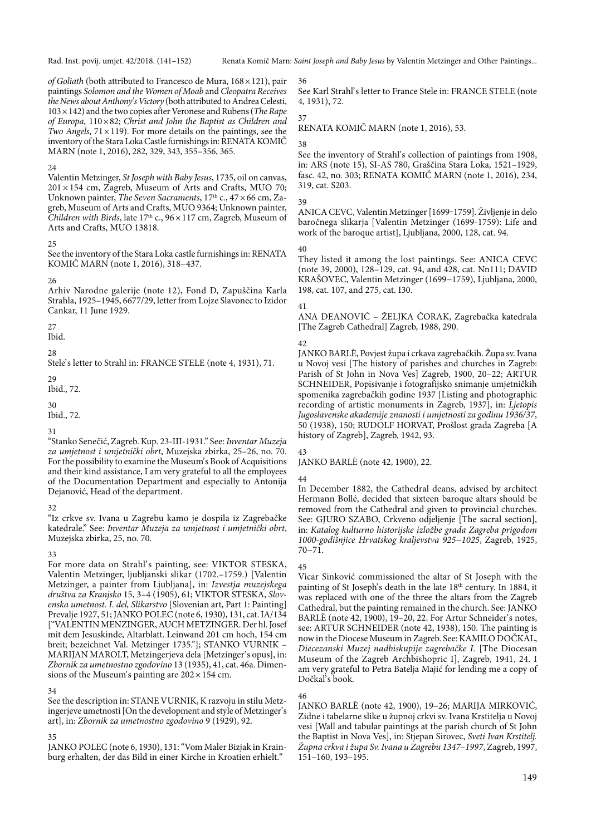Rad. Inst. povij. umjet. 42/2018. (141–152) Renata Komič Marn: Saint Joseph and Baby Jesus by Valentin Metzinger and Other Paintings...

of Goliath (both attributed to Francesco de Mura, 168 × 121), pair paintings Solomon and the Women of Moab and Cleopatra Receives the News about Anthony's Victory (both attributed to Andrea Celesti,  $103 \times 142$ ) and the two copies after Veronese and Rubens (*The Rape* of Europa,  $110 \times 82$ ; Christ and John the Baptist as Children and Two Angels,  $71 \times 119$ ). For more details on the paintings, see the inventory of the Stara Loka Castle furnishings in: RENATA KOMIČ MARN (note 1, 2016), 282, 329, 343, 355–356, 365.

#### 24

Valentin Metzinger, St Joseph with Baby Jesus, 1735, oil on canvas,  $201 \times 154$  cm, Zagreb, Museum of Arts and Crafts, MUO 70; Unknown painter, *The Seven Sacraments*,  $17<sup>th</sup>$  c.,  $47 \times 66$  cm, Zagreb, Museum of Arts and Crafts, MUO 9364; Unknown painter, Children with Birds, late  $17<sup>th</sup>$  c.,  $96 \times 117$  cm, Zagreb, Museum of Arts and Crafts, MUO 13818.

#### 25

See the inventory of the Stara Loka castle furnishings in: RENATA KOMIČ MARN (note 1, 2016), 318−437.

#### 26

Arhiv Narodne galerije (note 12), Fond D, Zapuščina Karla Strahla, 1925–1945, 6677/29, letter from Lojze Slavonec to Izidor Cankar, 11 June 1929.

27

Ibid.

28

Stele's letter to Strahl in: FRANCE STELE (note 4, 1931), 71.

29

Ibid., 72.

30

Ibid., 72.

#### 31

"Stanko Senečić, Zagreb. Kup. 23-III-1931." See: Inventar Muzeja za umjetnost i umjetnički obrt, Muzejska zbirka, 25–26, no. 70. For the possibility to examine the Museum's Book of Acquisitions and their kind assistance, I am very grateful to all the employees of the Documentation Department and especially to Antonija Dejanović, Head of the department.

#### $32$

"Iz crkve sv. Ivana u Zagrebu kamo je dospila iz Zagrebačke katedrale." See: Inventar Muzeja za umjetnost i umjetnički obrt, Muzejska zbirka, 25, no. 70.

#### 33

For more data on Strahl's painting, see: VIKTOR STESKA, Valentin Metzinger, ljubljanski slikar (1702.–1759.) [Valentin Metzinger, a painter from Ljubljana], in: Izvestja muzejskega društva za Kranjsko 15, 3–4 (1905), 61; VIKTOR STESKA, Slovenska umetnost. I. del, Slikarstvo [Slovenian art, Part 1: Painting] Prevalje 1927, 51; JANKO POLEC (note 6, 1930), 131, cat. IA/134 ["VALENTIN MENZINGER, AUCH METZINGER. Der hl. Josef mit dem Jesuskinde, Altarblatt. Leinwand 201 cm hoch, 154 cm breit; bezeichnet Val. Metzinger 1735."]; STANKO VURNIK – MARIJAN MAROLT, Metzingerjeva dela [Metzinger's opus], in: Zbornik za umetnostno zgodovino 13 (1935), 41, cat. 46a. Dimensions of the Museum's painting are  $202 \times 154$  cm.

## 34

See the description in: STANE VURNIK, K razvoju in stilu Metzingerjeve umetnosti [On the development and style of Metzinger's art], in: Zbornik za umetnostno zgodovino 9 (1929), 92.

## 35

JANKO POLEC (note 6, 1930), 131: "Vom Maler Bizjak in Krainburg erhalten, der das Bild in einer Kirche in Kroatien erhielt."

36

See Karl Strahl's letter to France Stele in: FRANCE STELE (note 4, 1931), 72.

RENATA KOMIČ MARN (note 1, 2016), 53.

# 38

37

See the inventory of Strahl's collection of paintings from 1908, in: ARS (note 15), SI-AS 780, Graščina Stara Loka, 1521–1929, fasc. 42, no. 303; RENATA KOMIČ MARN (note 1, 2016), 234, 319, cat. S203.

#### 39

ANICA CEVC, Valentin Metzinger [1699-1759]. Življenje in delo baročnega slikarja [Valentin Metzinger (1699-1759): Life and work of the baroque artist], Ljubljana, 2000, 128, cat. 94.

#### 40

They listed it among the lost paintings. See: ANICA CEVC (note 39, 2000), 128–129, cat. 94, and 428, cat. Nn111; DAVID KRAŠOVEC, Valentin Metzinger (1699−1759), Ljubljana, 2000, 198, cat. 107, and 275, cat. I30.

## 41

ANA DEANOVIĆ – ŽELJKA ČORAK, Zagrebačka katedrala [The Zagreb Cathedral] Zagreb, 1988, 290.

## 42

JANKO BARLÈ, Povjest župa i crkava zagrebačkih. Župa sv. Ivana u Novoj vesi [The history of parishes and churches in Zagreb: Parish of St John in Nova Ves] Zagreb, 1900, 20–22; ARTUR SCHNEIDER, Popisivanje i fotografijsko snimanje umjetničkih spomenika zagrebačkih godine 1937 [Listing and photographic recording of artistic monuments in Zagreb, 1937], in: Ljetopis Jugoslavenske akademije znanosti i umjetnosti za godinu 1936/37, 50 (1938), 150; RUDOLF HORVAT, Prošlost grada Zagreba [A history of Zagreb], Zagreb, 1942, 93.

# 43

JANKO BARLÈ (note 42, 1900), 22.

## 44

In December 1882, the Cathedral deans, advised by architect Hermann Bollé, decided that sixteen baroque altars should be removed from the Cathedral and given to provincial churches. See: GJURO SZABO, Crkveno odjeljenje [The sacral section], in: Katalog kulturno historijske izložbe grada Zagreba prigodom 1000-godišnjice Hrvatskog kraljevstva 925−1025, Zagreb, 1925, 70−71.

## 45

Vicar Sinković commissioned the altar of St Joseph with the painting of St Joseph's death in the late 18<sup>th</sup> century. In 1884, it was replaced with one of the three the altars from the Zagreb Cathedral, but the painting remained in the church. See: JANKO BARLÈ (note 42, 1900), 19-20, 22. For Artur Schneider's notes, see: ARTUR SCHNEIDER (note 42, 1938), 150. The painting is now in the Diocese Museum in Zagreb. See: KAMILO DOČKAL, Diecezanski Muzej nadbiskupije zagrebačke I. [The Diocesan Museum of the Zagreb Archbishopric I], Zagreb, 1941, 24. I am very grateful to Petra Batelja Majić for lending me a copy of Dočkal's book.

## 46

JANKO BARLÈ (note 42, 1900), 19–26; MARIJA MIRKOVIĆ, Zidne i tabelarne slike u župnoj crkvi sv. Ivana Krstitelja u Novoj vesi [Wall and tabular paintings at the parish church of St John the Baptist in Nova Ves], in: Stjepan Sirovec, Sveti Ivan Krstitelj. Župna crkva i župa Sv. Ivana u Zagrebu 1347–1997, Zagreb, 1997,  $151 - 160$ , 193 $-195$ .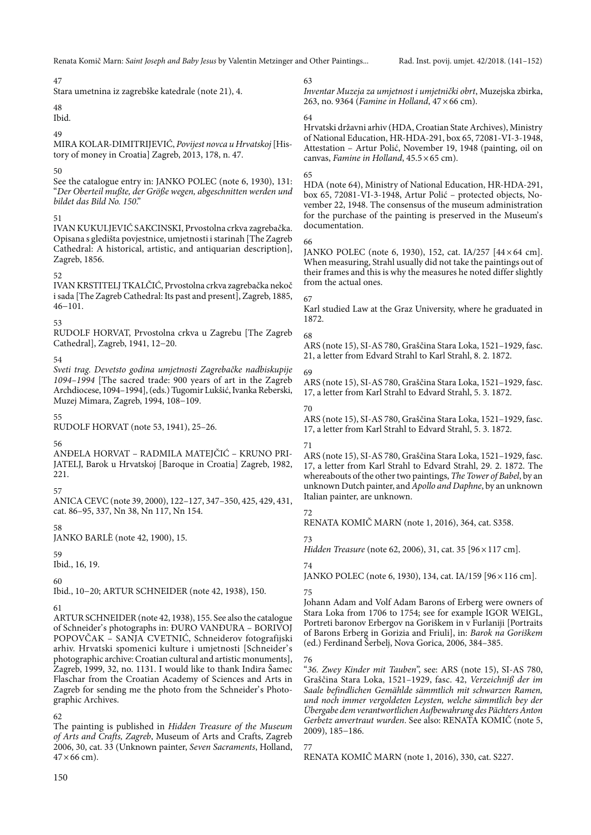#### 47

Stara umetnina iz zagrebške katedrale (note 21), 4.

## 48

Ibid.

#### 49

MIRA KOLAR-DIMITRIJEVIĆ, Povijest novca u Hrvatskoj [History of money in Croatia] Zagreb, 2013, 178, n. 47.

## 50

See the catalogue entry in: JANKO POLEC (note 6, 1930), 131: "Der Oberteil mußte, der Größe wegen, abgeschnitten werden und bildet das Bild No. 150."

## 51

IVAN KUKULJEVIĆ SAKCINSKI, Prvostolna crkva zagrebačka. Opisana s gledišta povjestnice, umjetnosti i starinah [The Zagreb Cathedral: A historical, artistic, and antiquarian description], Zagreb, 1856.

## 52

IVAN KRSTITELJ TKALČIĆ, Prvostolna crkva zagrebačka nekoč i sada [The Zagreb Cathedral: Its past and present], Zagreb, 1885, 46−101.

## 53

RUDOLF HORVAT, Prvostolna crkva u Zagrebu [The Zagreb Cathedral], Zagreb, 1941, 12−20.

## 54

Sveti trag. Devetsto godina umjetnosti Zagrebačke nadbiskupije 1094–1994 [The sacred trade: 900 years of art in the Zagreb Archdiocese, 1094–1994], (eds.) Tugomir Lukšić, Ivanka Reberski, Muzej Mimara, Zagreb, 1994, 108−109.

## 55

RUDOLF HORVAT (note 53, 1941), 25–26.

## 56

ANĐELA HORVAT – RADMILA MATEJČIĆ – KRUNO PRI-JATELJ, Barok u Hrvatskoj [Baroque in Croatia] Zagreb, 1982, 221.

## 57

ANICA CEVC (note 39, 2000), 122–127, 347–350, 425, 429, 431, cat. 86–95, 337, Nn 38, Nn 117, Nn 154.

## 58

JANKO BARLÈ (note 42, 1900), 15.

# 59

Ibid., 16, 19.

## 60

Ibid., 10−20; ARTUR SCHNEIDER (note 42, 1938), 150.

## 61

ARTUR SCHNEIDER (note 42, 1938), 155. See also the catalogue of Schneider's photographs in: ĐURO VANĐURA - BORIVOJ POPOVČAK – SANJA CVETNIĆ, Schneiderov fotografijski arhiv. Hrvatski spomenici kulture i umjetnosti [Schneider' s photographic archive: Croatian cultural and artistic monuments], Zagreb, 1999, 32, no. 1131. I would like to thank Indira Šamec Flaschar from the Croatian Academy of Sciences and Arts in Zagreb for sending me the photo from the Schneider's Photographic Archives.

62

The painting is published in Hidden Treasure of the Museum of Arts and Crafts, Zagreb, Museum of Arts and Crafts, Zagreb 2006, 30, cat. 33 (Unknown painter, Seven Sacraments, Holland,  $47 \times 66$  cm).

63 Inventar Muzeja za umjetnost i umjetnički obrt, Muzejska zbirka, 263, no. 9364 (Famine in Holland,  $47 \times 66$  cm).

## 64

Hrvatski državni arhiv (HDA, Croatian State Archives), Ministry of National Education, HR-HDA-291, box 65, 72081-VI-3-1948, Attestation – Artur Polić, November 19, 1948 (painting, oil on canvas, Famine in Holland, 45.5 × 65 cm).

## 65

HDA (note 64), Ministry of National Education, HR-HDA-291, box 65, 72081-VI-3-1948, Artur Polić – protected objects, November 22, 1948. The consensus of the museum administration for the purchase of the painting is preserved in the Museum's documentation.

## 66

JANKO POLEC (note 6, 1930), 152, cat. IA/257 [44 × 64 cm]. When measuring, Strahl usually did not take the paintings out of their frames and this is why the measures he noted differ slightly from the actual ones.

## 67

Karl studied Law at the Graz University, where he graduated in 1872.

## 68

ARS (note 15), SI-AS 780, Graščina Stara Loka, 1521–1929, fasc. 21, a letter from Edvard Strahl to Karl Strahl, 8. 2. 1872.

## 69

ARS (note 15), SI-AS 780, Graščina Stara Loka, 1521–1929, fasc. 17, a letter from Karl Strahl to Edvard Strahl, 5. 3. 1872.

## 70

ARS (note 15), SI-AS 780, Graščina Stara Loka, 1521–1929, fasc. 17, a letter from Karl Strahl to Edvard Strahl, 5. 3. 1872.

## 71

ARS (note 15), SI-AS 780, Graščina Stara Loka, 1521–1929, fasc. 17, a letter from Karl Strahl to Edvard Strahl, 29. 2. 1872. The whereabouts of the other two paintings, The Tower of Babel, by an unknown Dutch painter, and Apollo and Daphne, by an unknown Italian painter, are unknown.

## 72

73

RENATA KOMIČ MARN (note 1, 2016), 364, cat. S358.

Hidden Treasure (note 62, 2006), 31, cat. 35 [96 × 117 cm].

## 74

JANKO POLEC (note 6, 1930), 134, cat. IA/159 [96 × 116 cm]. 75

#### Johann Adam and Volf Adam Barons of Erberg were owners of Stara Loka from 1706 to 1754; see for example IGOR WEIGL, Portreti baronov Erbergov na Goriškem in v Furlaniji [Portraits of Barons Erberg in Gorizia and Friuli], in: Barok na Goriškem (ed.) Ferdinand Šerbelj, Nova Gorica, 2006, 384–385.

76

"36. Zwey Kinder mit Tauben", see: ARS (note 15), SI-AS 780, Graščina Stara Loka, 1521–1929, fasc. 42, Verzeichniß der im Saale befindlichen Gemählde sämmtlich mit schwarzen Ramen, und noch immer vergoldeten Leysten, welche sämmtlich bey der Übergabe dem verantwortlichen Aufbewahrung des Pächters Anton Gerbetz anvertraut wurden. See also: RENATA KOMIČ (note 5, 2009), 185−186.

## 77

RENATA KOMIČ MARN (note 1, 2016), 330, cat. S227.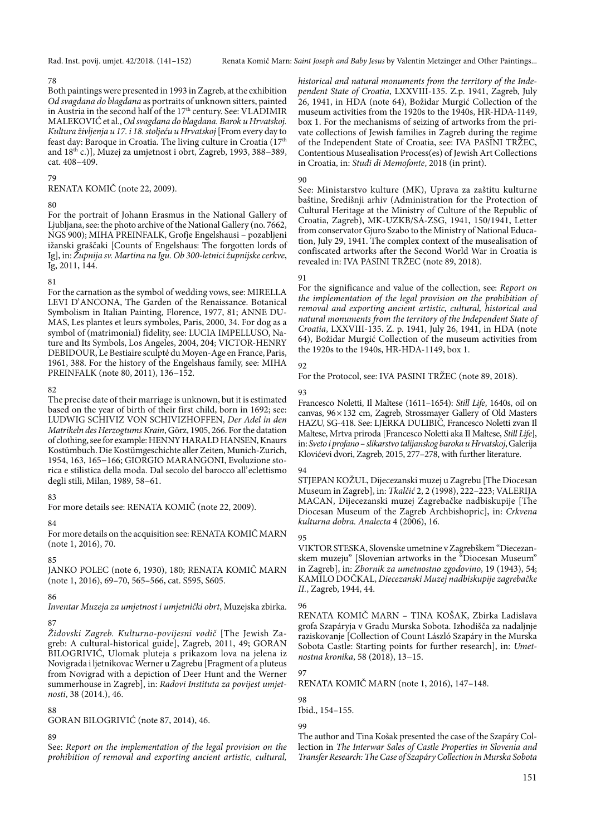Rad. Inst. povij. umjet. 42/2018. (141–152) Renata Komič Marn: Saint Joseph and Baby Jesus by Valentin Metzinger and Other Paintings...

#### 78

Both paintings were presented in 1993 in Zagreb, at the exhibition Od svagdana do blagdana as portraits of unknown sitters, painted in Austria in the second half of the 17<sup>th</sup> century. See: VLADIMIR MALEKOVIĆ et al., Od svagdana do blagdana. Barok u Hrvatskoj. Kultura življenja u 17. i 18. stoljeću u Hrvatskoj [From every day to feast day: Baroque in Croatia. The living culture in Croatia (17th and 18th c.)], Muzej za umjetnost i obrt, Zagreb, 1993, 388−389, cat. 408−409.

#### 79

RENATA KOMIČ (note 22, 2009).

#### 80

For the portrait of Johann Erasmus in the National Gallery of Ljubljana, see: the photo archive of the National Gallery (no. 7662, NGS 900); MIHA PREINFALK, Grofje Engelshausi – pozabljeni ižanski graščaki [Counts of Engelshaus: The forgotten lords of Ig], in: Župnija sv. Martina na Igu. Ob 300-letnici župnijske cerkve, Ig, 2011, 144.

## 81

For the carnation as the symbol of wedding vows, see: MIRELLA LEVI D'ANCONA, The Garden of the Renaissance. Botanical Symbolism in Italian Painting, Florence, 1977, 81; ANNE DU-MAS, Les plantes et leurs symboles, Paris, 2000, 34. For dog as a symbol of (matrimonial) fidelity, see: LUCIA IMPELLUSO, Nature and Its Symbols, Los Angeles, 2004, 204; VICTOR-HENRY DEBIDOUR, Le Bestiaire sculpté du Moyen-Age en France, Paris, 1961, 388. For the history of the Engelshaus family, see: MIHA PREINFALK (note 80, 2011), 136−152.

#### 82

The precise date of their marriage is unknown, but it is estimated based on the year of birth of their first child, born in 1692; see: LUDWIG SCHIVIZ VON SCHIVIZHOFFEN, Der Adel in den Matrikeln des Herzogtums Krain, Görz, 1905, 266. For the datation of clothing, see for example: HENNY HARALD HANSEN, Knaurs Kostümbuch. Die Kostümgeschichte aller Zeiten, Munich-Zurich, 1954, 163, 165−166; GIORGIO MARANGONI, Evoluzione storica e stilistica della moda. Dal secolo del barocco all' eclettismo degli stili, Milan, 1989, 58−61.

## 83

For more details see: RENATA KOMIČ (note 22, 2009).

#### 84

For more details on the acquisition see: RENATA KOMIČ MARN (note 1, 2016), 70.

## 85

JANKO POLEC (note 6, 1930), 180; RENATA KOMIČ MARN (note 1, 2016), 69–70, 565–566, cat. S595, S605.

## 86

Inventar Muzeja za umjetnost i umjetnički obrt, Muzejska zbirka.

## 87

Židovski Zagreb. Kulturno-povijesni vodič [The Jewish Zagreb: A cultural-historical guide], Zagreb, 2011, 49; GORAN BILOGRIVIĆ, Ulomak pluteja s prikazom lova na jelena iz Novigrada i ljetnikovac Werner u Zagrebu [Fragment of a pluteus from Novigrad with a depiction of Deer Hunt and the Werner summerhouse in Zagreb], in: Radovi Instituta za povijest umjetnosti, 38 (2014.), 46.

## 88

GORAN BILOGRIVIĆ (note 87, 2014), 46.

## 89

See: Report on the implementation of the legal provision on the prohibition of removal and exporting ancient artistic, cultural,

historical and natural monuments from the territory of the Independent State of Croatia, LXXVIII-135. Z.p. 1941, Zagreb, July 26, 1941, in HDA (note 64), Božidar Murgić Collection of the museum activities from the 1920s to the 1940s, HR-HDA-1149, box 1. For the mechanisms of seizing of artworks from the private collections of Jewish families in Zagreb during the regime of the Independent State of Croatia, see: IVA PASINI TRŽEC, Contentious Musealisation Process(es) of Jewish Art Collections in Croatia, in: Studi di Memofonte, 2018 (in print).

#### 90

See: Ministarstvo kulture (MK), Uprava za zaštitu kulturne baštine, Središnji arhiv (Administration for the Protection of Cultural Heritage at the Ministry of Culture of the Republic of Croatia, Zagreb), MK-UZKB/SA-ZSG, 1941, 150/1941, Letter from conservator Gjuro Szabo to the Ministry of National Education, July 29, 1941. The complex context of the musealisation of confiscated artworks after the Second World War in Croatia is revealed in: IVA PASINI TRŽEC (note 89, 2018).

#### 91

For the significance and value of the collection, see: Report on the implementation of the legal provision on the prohibition of removal and exporting ancient artistic, cultural, historical and natural monuments from the territory of the Independent State of Croatia, LXXVIII-135. Z. p. 1941, July 26, 1941, in HDA (note 64), Božidar Murgić Collection of the museum activities from the 1920s to the 1940s, HR-HDA-1149, box 1.

## 92

For the Protocol, see: IVA PASINI TRŽEC (note 89, 2018).

#### 93

Francesco Noletti, Il Maltese (1611–1654): Still Life, 1640s, oil on canvas, 96 × 132 cm, Zagreb, Strossmayer Gallery of Old Masters HAZU, SG-418. See: LJERKA DULIBIĆ, Francesco Noletti zvan Il Maltese, Mrtva priroda [Francesco Noletti aka Il Maltese, Still Life], in: Sveto i profano – slikarstvo talijanskog baroka u Hrvatskoj, Galerija Klovićevi dvori, Zagreb, 2015, 277–278, with further literature.

#### 94

STJEPAN KOŽUL, Dijecezanski muzej u Zagrebu [The Diocesan Museum in Zagreb], in: Tkalčić 2, 2 (1998), 222–223; VALERIJA MACAN, Dijecezanski muzej Zagrebačke nadbiskupije [The Diocesan Museum of the Zagreb Archbishopric], in: Crkvena kulturna dobra. Analecta 4 (2006), 16.

## 95

VIKTOR STESKA, Slovenske umetnine v Zagrebškem "Diecezanskem muzeju" [Slovenian artworks in the "Diocesan Museum" in Zagreb], in: Zbornik za umetnostno zgodovino, 19 (1943), 54; KAMILO DOČKAL, Diecezanski Muzej nadbiskupije zagrebačke II., Zagreb, 1944, 44.

#### 96

RENATA KOMIČ MARN – TINA KOŠAK, Zbirka Ladislava grofa Szapáryja v Gradu Murska Sobota. Izhodišča za nadaljnje raziskovanje [Collection of Count László Szapáry in the Murska Sobota Castle: Starting points for further research], in: Umetnostna kronika, 58 (2018), 13−15.

## 97

RENATA KOMIČ MARN (note 1, 2016), 147–148.

#### 98 Ibid., 154–155.

## 99

The author and Tina Košak presented the case of the Szapáry Collection in The Interwar Sales of Castle Properties in Slovenia and Transfer Research: The Case of Szapáry Collection in Murska Sobota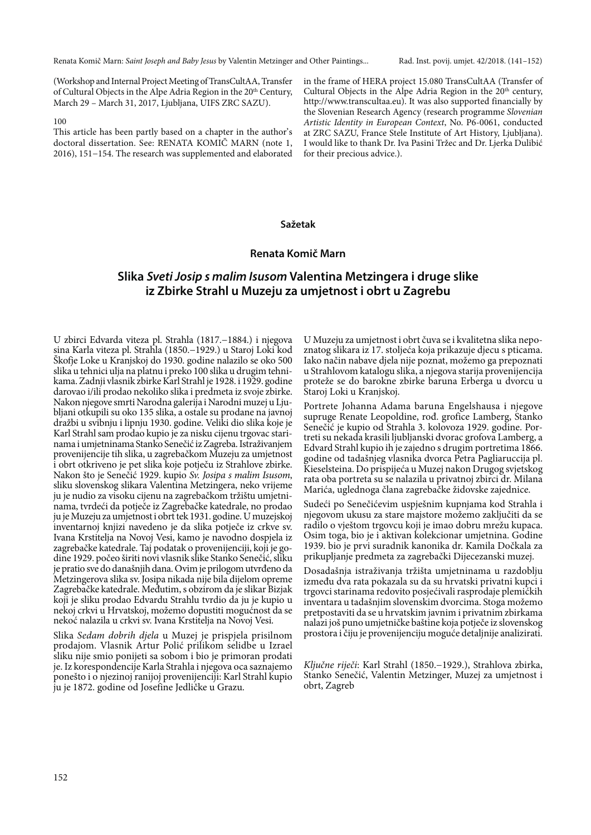(Workshop and Internal Project Meeting of TransCultAA, Transfer of Cultural Objects in the Alpe Adria Region in the 20<sup>th</sup> Century, March 29 – March 31, 2017, Ljubljana, UIFS ZRC SAZU).

#### 100

This article has been partly based on a chapter in the author's doctoral dissertation. See: RENATA KOMIČ MARN (note 1, 2016), 151−154. The research was supplemented and elaborated in the frame of HERA project 15.080 TransCultAA (Transfer of Cultural Objects in the Alpe Adria Region in the  $20<sup>th</sup>$  century, http://www.transcultaa.eu). It was also supported financially by the Slovenian Research Agency (research programme Slovenian Artistic Identity in European Context, No. P6-0061, conducted at ZRC SAZU, France Stele Institute of Art History, Ljubljana). I would like to thank Dr. Iva Pasini Tržec and Dr. Ljerka Dulibić for their precious advice.).

#### **Sažetak**

## **Renata Komič Marn**

# **Slika Sveti Josip s malim Isusom Valentina Metzingera i druge slike iz Zbirke Strahl u Muzeju za umjetnost i obrt u Zagrebu**

U zbirci Edvarda viteza pl. Strahla (1817.−1884.) i njegova sina Karla viteza pl. Strahla (1850.−1929.) u Staroj Loki kod Škofje Loke u Kranjskoj do 1930. godine nalazilo se oko 500 slika u tehnici ulja na platnu i preko 100 slika u drugim tehnikama. Zadnji vlasnik zbirke Karl Strahl je 1928. i 1929. godine darovao i/ili prodao nekoliko slika i predmeta iz svoje zbirke. Nakon njegove smrti Narodna galerija i Narodni muzej u Ljubljani otkupili su oko 135 slika, a ostale su prodane na javnoj dražbi u svibnju i lipnju 1930. godine. Veliki dio slika koje je Karl Strahl sam prodao kupio je za nisku cijenu trgovac starinama i umjetninama Stanko Senečić iz Zagreba. Istraživanjem provenijencije tih slika, u zagrebačkom Muzeju za umjetnost i obrt otkriveno je pet slika koje potječu iz Strahlove zbirke. Nakon što je Senečić 1929. kupio Sv. Josipa s malim Isusom, sliku slovenskog slikara Valentina Metzingera, neko vrijeme ju je nudio za visoku cijenu na zagrebačkom tržištu umjetninama, tvrdeći da potječe iz Zagrebačke katedrale, no prodao ju je Muzeju za umjetnost i obrt tek 1931. godine. U muzejskoj inventarnoj knjizi navedeno je da slika potječe iz crkve sv. Ivana Krstitelja na Novoj Vesi, kamo je navodno dospjela iz zagrebačke katedrale. Taj podatak o provenijenciji, koji je godine 1929. počeo širiti novi vlasnik slike Stanko Senečić, sliku je pratio sve do današnjih dana. Ovim je prilogom utvrđeno da Metzingerova slika sv. Josipa nikada nije bila dijelom opreme Zagrebačke katedrale. Međutim, s obzirom da je slikar Bizjak koji je sliku prodao Edvardu Strahlu tvrdio da ju je kupio u nekoj crkvi u Hrvatskoj, možemo dopustiti mogućnost da se nekoć nalazila u crkvi sv. Ivana Krstitelja na Novoj Vesi.

Slika Sedam dobrih djela u Muzej je prispjela prisilnom prodajom. Vlasnik Artur Polić prilikom selidbe u Izrael sliku nije smio ponijeti sa sobom i bio je primoran prodati je. Iz korespondencije Karla Strahla i njegova oca saznajemo ponešto i o njezinoj ranijoj provenijenciji: Karl Strahl kupio ju je 1872. godine od Josefine Jedličke u Grazu.

U Muzeju za umjetnost i obrt čuva se i kvalitetna slika nepoznatog slikara iz 17. stoljeća koja prikazuje djecu s pticama. Iako način nabave djela nije poznat, možemo ga prepoznati u Strahlovom katalogu slika, a njegova starija provenijencija proteže se do barokne zbirke baruna Erberga u dvorcu u Staroj Loki u Kranjskoj.

Portrete Johanna Adama baruna Engelshausa i njegove supruge Renate Leopoldine, rođ. grofice Lamberg, Stanko Senečić je kupio od Strahla 3. kolovoza 1929. godine. Portreti su nekada krasili ljubljanski dvorac grofova Lamberg, a Edvard Strahl kupio ih je zajedno s drugim portretima 1866. godine od tadašnjeg vlasnika dvorca Petra Pagliaruccija pl. Kieselsteina. Do prispijeća u Muzej nakon Drugog svjetskog rata oba portreta su se nalazila u privatnoj zbirci dr. Milana Marića, uglednoga člana zagrebačke židovske zajednice.

Sudeći po Senečićevim uspješnim kupnjama kod Strahla i njegovom ukusu za stare majstore možemo zaključiti da se radilo o vještom trgovcu koji je imao dobru mrežu kupaca. Osim toga, bio je i aktivan kolekcionar umjetnina. Godine 1939. bio je prvi suradnik kanonika dr. Kamila Dočkala za prikupljanje predmeta za zagrebački Dijecezanski muzej.

Dosadašnja istraživanja tržišta umjetninama u razdoblju između dva rata pokazala su da su hrvatski privatni kupci i trgovci starinama redovito posjećivali rasprodaje plemićkih inventara u tadašnjim slovenskim dvorcima. Stoga možemo pretpostaviti da se u hrvatskim javnim i privatnim zbirkama nalazi još puno umjetničke baštine koja potječe iz slovenskog prostora i čiju je provenijenciju moguće detaljnije analizirati.

Ključne riječi: Karl Strahl (1850.−1929.), Strahlova zbirka, Stanko Senečić, Valentin Metzinger, Muzej za umjetnost i obrt, Zagreb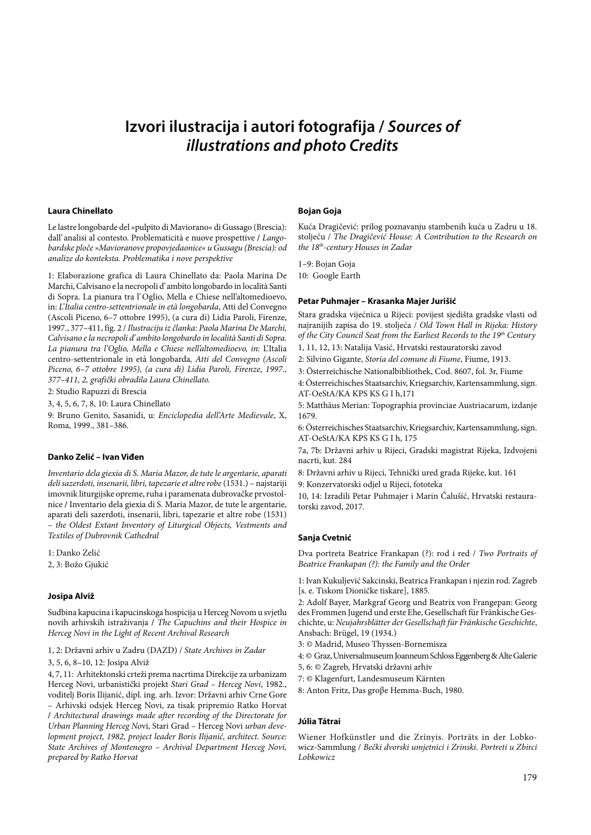# **Izvori ilustracija i autori fotografija / Sources of illustrations and photo Credits**

#### **Laura Chinellato**

Le lastre longobarde del »pulpito di Maviorano« di Gussago (Brescia): dall' analisi al contesto. Problematicità e nuove prospettive **/** Langobardske ploče »Mavioranove propovjedaonice« u Gussagu (Brescia): od analize do konteksta. Problematika i nove perspektive

1: Elaborazione grafica di Laura Chinellato da: Paola Marina De Marchi, Calvisano e la necropoli d' ambito longobardo in località Santi di Sopra. La pianura tra l' Oglio, Mella e Chiese nell'altomedioevo, in: L'Italia centro-settentrionale in età longobarda, Atti del Convegno (Ascoli Piceno, 6–7 ottobre 1995), (a cura di) Lidia Paroli, Firenze, 1997., 377–411, fig. 2 / Ilustraciju iz članka: Paola Marina De Marchi, Calvisano e la necropoli d' ambito longobardo in località Santi di Sopra. La pianura tra l'Oglio, Mella e Chiese nell'altomedioevo, in: L'Italia centro-settentrionale in età longobarda, Atti del Convegno (Ascoli Piceno, 6–7 ottobre 1995), (a cura di) Lidia Paroli, Firenze, 1997., 377–411, 2, grafički obradila Laura Chinellato.

2: Studio Rapuzzi di Brescia

3, 4, 5, 6, 7, 8, 10: Laura Chinellato

9: Bruno Genito, Sasanidi, u: Enciclopedia dell'Arte Medievale, X, Roma, 1999., 381–386.

#### **Danko Zelić – Ivan Viđen**

Inventario dela giexia di S. Maria Mazor, de tute le argentarie, aparati deli sazerdoti, insenarii, libri, tapezarie et altre robe (1531.) – najstariji imovnik liturgijske opreme, ruha i paramenata dubrovačke prvostolnice **/** Inventario dela giexia di S. Maria Mazor, de tute le argentarie, aparati deli sazerdoti, insenarii, libri, tapezarie et altre robe (1531) – the Oldest Extant Inventory of Liturgical Objects, Vestments and Textiles of Dubrovnik Cathedral

1: Danko Zelić 2, 3: Božo Gjukić

#### **Josipa Alviž**

Sudbina kapucina i kapucinskoga hospicija u Herceg Novom u svjetlu novih arhivskih istraživanja **/** The Capuchins and their Hospice in Herceg Novi in the Light of Recent Archival Research

1, 2: Državni arhiv u Zadru (DAZD) / State Archives in Zadar

#### 3, 5, 6, 8–10, 12: Josipa Alviž

4, 7, 11: Arhitektonski crteži prema nacrtima Direkcije za urbanizam Herceg Novi, urbanistički projekt Stari Grad – Herceg Novi, 1982., voditelj Boris Ilijanić, dipl. ing. arh. Izvor: Državni arhiv Crne Gore – Arhivski odsjek Herceg Novi, za tisak pripremio Ratko Horvat **/** Architectural drawings made after recording of the Directorate for Urban Planning Herceg Novi, Stari Grad – Herceg Novi urban development project, 1982, project leader Boris Ilijanić, architect. Source: State Archives of Montenegro – Archival Department Herceg Novi, prepared by Ratko Horvat

#### **Bojan Goja**

Kuća Dragičević: prilog poznavanju stambenih kuća u Zadru u 18. stoljeću / The Dragičević House: A Contribution to the Research on the 18th-century Houses in Zadar

1–9: Bojan Goja

10: Google Earth

#### **Petar Puhmajer – Krasanka Majer Jurišić**

Stara gradska vijećnica u Rijeci: povijest sjedišta gradske vlasti od najranijih zapisa do 19. stoljeća / Old Town Hall in Rijeka: History of the City Council Seat from the Earliest Records to the  $19<sup>th</sup>$  Century 1, 11, 12, 13: Natalija Vasić, Hrvatski restauratorski zavod

2: Silvino Gigante, Storia del comune di Fiume, Fiume, 1913.

3: Österreichische Nationalbibliothek, Cod. 8607, fol. 3r, Fiume 4: Österreichisches Staatsarchiv, Kriegsarchiv, Kartensammlung, sign.

AT-OeStA/KA KPS KS G I h,171

5: Matthäus Merian: Topographia provinciae Austriacarum, izdanje 1679.

6: Österreichisches Staatsarchiv, Kriegsarchiv, Kartensammlung, sign. AT-OeStA/KA KPS KS G I h, 175

7a, 7b: Državni arhiv u Rijeci, Gradski magistrat Rijeka, Izdvojeni nacrti, kut. 284

8: Državni arhiv u Rijeci, Tehnički ured grada Rijeke, kut. 161 9: Konzervatorski odjel u Rijeci, fototeka

10, 14: Izradili Petar Puhmajer i Marin Čalušić, Hrvatski restauratorski zavod, 2017.

## **Sanja Cvetnić**

Dva portreta Beatrice Frankapan (?): rod i red / Two Portraits of Beatrice Frankapan (?): the Family and the Order

1: Ivan Kukuljević Sakcinski, Beatrica Frankapan i njezin rod. Zagreb [s. e. Tiskom Dioničke tiskare], 1885.

2: Adolf Bayer, Markgraf Georg und Beatrix von Frangepan: Georg des Frommen Jugend und erste Ehe, Gesellschaft für Fränkische Geschichte, u: Neujahrsblätter der Gesellschaft für Fränkische Geschichte, Ansbach: Brügel, 19 (1934.)

3: © Madrid, Museo Thyssen-Bornemisza

4: © Graz, Universalmuseum Joanneum Schloss Eggenberg & Alte Galerie

5, 6: © Zagreb, Hrvatski državni arhiv

7: © Klagenfurt, Landesmuseum Kärnten

8: Anton Fritz, Das groβe Hemma-Buch, 1980.

#### **Júlia Tátrai**

Wiener Hofkünstler und die Zrínyis. Porträts in der Lobkowicz-Sammlung / Bečki dvorski umjetnici i Zrinski. Portreti u Zbirci Lobkowicz